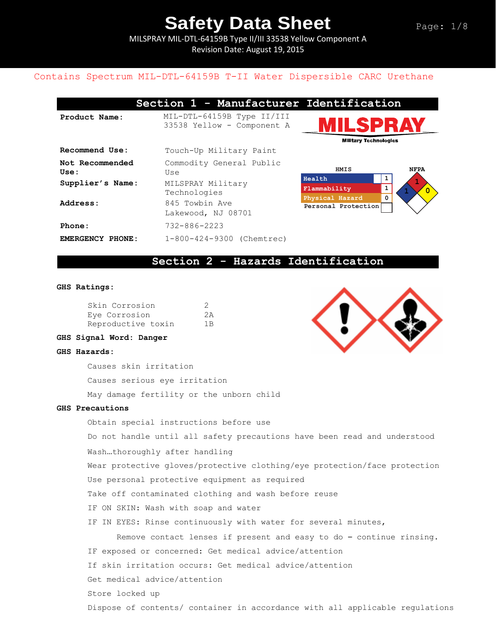MILSPRAY MIL-DTL-64159B Type II/III 33538 Yellow Component A Revision Date: August 19, 2015

### Contains Spectrum MIL-DTL-64159B T-II Water Dispersible CARC Urethane

|                         | Section 1 - Manufacturer                                 |  |  |
|-------------------------|----------------------------------------------------------|--|--|
| Product Name:           | MIL-DTL-64159B Type II/III<br>33538 Yellow - Component A |  |  |
| Recommend Use:          | Touch-Up Military Paint                                  |  |  |
| Not Recommended<br>Use: | Commodity General Public<br>Use                          |  |  |
| Supplier's Name:        | MILSPRAY Military<br>Technologies                        |  |  |
| Address:                | 845 Towbin Ave<br>Lakewood, NJ 08701                     |  |  |
| Phone:                  | 732-886-2223                                             |  |  |
| <b>EMERGENCY PHONE:</b> | 1-800-424-9300 (Chemtrec)                                |  |  |





### **Section 2 - Hazards Identification**

#### **GHS Ratings:**

| Skin Corrosion     | -2  |
|--------------------|-----|
| Eye Corrosion      | 2A  |
| Reproductive toxin | 1 B |



### **GHS Signal Word: Danger**

#### **GHS Hazards:**

Causes skin irritation

Causes serious eye irritation

May damage fertility or the unborn child

#### **GHS Precautions**

Obtain special instructions before use Do not handle until all safety precautions have been read and understood Wash…thoroughly after handling Wear protective gloves/protective clothing/eye protection/face protection Use personal protective equipment as required Take off contaminated clothing and wash before reuse IF ON SKIN: Wash with soap and water IF IN EYES: Rinse continuously with water for several minutes, Remove contact lenses if present and easy to do – continue rinsing. IF exposed or concerned: Get medical advice/attention If skin irritation occurs: Get medical advice/attention Get medical advice/attention Store locked up Dispose of contents/ container in accordance with all applicable regulations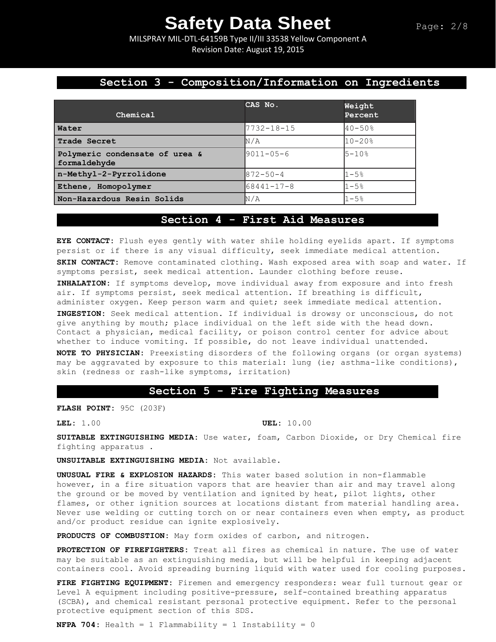MILSPRAY MIL-DTL-64159B Type II/III 33538 Yellow Component A Revision Date: August 19, 2015

## **Section 3 - Composition/Information on Ingredients**

|                                                | CAS No.          | Weight      |
|------------------------------------------------|------------------|-------------|
| Chemical                                       |                  | Percent     |
| Water                                          | 7732-18-15       | $40 - 50%$  |
| <b>Trade Secret</b>                            | N/A              | $10 - 20$ % |
| Polymeric condensate of urea &<br>formaldehyde | $9011 - 05 - 6$  | $5 - 10$ %  |
| n-Methyl-2-Pyrrolidone                         | $872 - 50 - 4$   | $1 - 5.8$   |
| Ethene, Homopolymer                            | $68441 - 17 - 8$ | $1 - 5%$    |
| Non-Hazardous Resin Solids                     | N/A              | 1-5%        |

### **Section 4 - First Aid Measures**

**EYE CONTACT:** Flush eyes gently with water shile holding eyelids apart. If symptoms persist or if there is any visual difficulty, seek immediate medical attention. **SKIN CONTACT:** Remove contaminated clothing. Wash exposed area with soap and water. If symptoms persist, seek medical attention. Launder clothing before reuse.

**INHALATION:** If symptoms develop, move individual away from exposure and into fresh air. If symptoms persist, seek medical attention. If breathing is difficult, administer oxygen. Keep person warm and quiet; seek immediate medical attention.

**INGESTION:** Seek medical attention. If individual is drowsy or unconscious, do not give anything by mouth; place individual on the left side with the head down. Contact a physician, medical facility, or poison control center for advice about whether to induce vomiting. If possible, do not leave individual unattended.

**NOTE TO PHYSICIAN:** Preexisting disorders of the following organs (or organ systems) may be aggravated by exposure to this material: lung (ie; asthma-like conditions), skin (redness or rash-like symptoms, irritation)

### **Section 5 - Fire Fighting Measures**

**FLASH POINT:** 95C (203F)

**LEL:** 1.00 **UEL:** 10.00

**SUITABLE EXTINGUISHING MEDIA:** Use water, foam, Carbon Dioxide, or Dry Chemical fire fighting apparatus .

**UNSUITABLE EXTINGUISHING MEDIA:** Not available.

**UNUSUAL FIRE & EXPLOSION HAZARDS:** This water based solution in non-flammable however, in a fire situation vapors that are heavier than air and may travel along the ground or be moved by ventilation and ignited by heat, pilot lights, other flames, or other ignition sources at locations distant from material handling area. Never use welding or cutting torch on or near containers even when empty, as product and/or product residue can ignite explosively.

**PRODUCTS OF COMBUSTION:** May form oxides of carbon, and nitrogen.

**PROTECTION OF FIREFIGHTERS:** Treat all fires as chemical in nature. The use of water may be suitable as an extinguishing media, but will be helpful in keeping adjacent containers cool. Avoid spreading burning liquid with water used for cooling purposes.

**FIRE FIGHTING EQUIPMENT:** Firemen and emergency responders: wear full turnout gear or Level A equipment including positive-pressure, self-contained breathing apparatus (SCBA), and chemical resistant personal protective equipment. Refer to the personal protective equipment section of this SDS.

**NFPA 704:** Health = 1 Flammability = 1 Instability = 0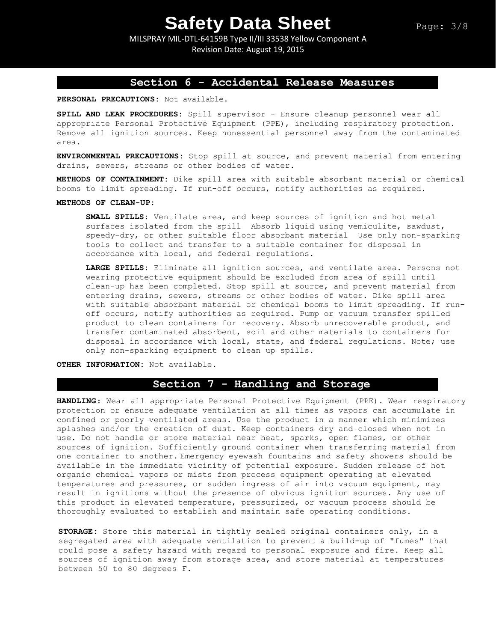MILSPRAY MIL-DTL-64159B Type II/III 33538 Yellow Component A Revision Date: August 19, 2015

# **Section 6 - Accidental Release Measures**

**PERSONAL PRECAUTIONS:** Not available.

**SPILL AND LEAK PROCEDURES:** Spill supervisor - Ensure cleanup personnel wear all appropriate Personal Protective Equipment (PPE), including respiratory protection. Remove all ignition sources. Keep nonessential personnel away from the contaminated area.

**ENVIRONMENTAL PRECAUTIONS:** Stop spill at source, and prevent material from entering drains, sewers, streams or other bodies of water.

**METHODS OF CONTAINMENT:** Dike spill area with suitable absorbant material or chemical booms to limit spreading. If run-off occurs, notify authorities as required.

#### **METHODS OF CLEAN-UP:**

**SMALL SPILLS:** Ventilate area, and keep sources of ignition and hot metal surfaces isolated from the spill Absorb liquid using vemiculite, sawdust, speedy-dry, or other suitable floor absorbant material Use only non-sparking tools to collect and transfer to a suitable container for disposal in accordance with local, and federal regulations.

**LARGE SPILLS:** Eliminate all ignition sources, and ventilate area. Persons not wearing protective equipment should be excluded from area of spill until clean-up has been completed. Stop spill at source, and prevent material from entering drains, sewers, streams or other bodies of water. Dike spill area with suitable absorbant material or chemical booms to limit spreading. If runoff occurs, notify authorities as required. Pump or vacuum transfer spilled product to clean containers for recovery. Absorb unrecoverable product, and transfer contaminated absorbent, soil and other materials to containers for disposal in accordance with local, state, and federal regulations. Note; use only non-sparking equipment to clean up spills.

**OTHER INFORMATION:** Not available.

# **Section 7 - Handling and Storage**

**HANDLING**: Wear all appropriate Personal Protective Equipment (PPE). Wear respiratory protection or ensure adequate ventilation at all times as vapors can accumulate in confined or poorly ventilated areas. Use the product in a manner which minimizes splashes and/or the creation of dust. Keep containers dry and closed when not in use. Do not handle or store material near heat, sparks, open flames, or other sources of ignition. Sufficiently ground container when transferring material from one container to another. Emergency eyewash fountains and safety showers should be available in the immediate vicinity of potential exposure. Sudden release of hot organic chemical vapors or mists from process equipment operating at elevated temperatures and pressures, or sudden ingress of air into vacuum equipment, may result in ignitions without the presence of obvious ignition sources. Any use of this product in elevated temperature, pressurized, or vacuum process should be thoroughly evaluated to establish and maintain safe operating conditions.

**STORAGE:** Store this material in tightly sealed original containers only, in a segregated area with adequate ventilation to prevent a build-up of "fumes" that could pose a safety hazard with regard to personal exposure and fire. Keep all sources of ignition away from storage area, and store material at temperatures between 50 to 80 degrees F.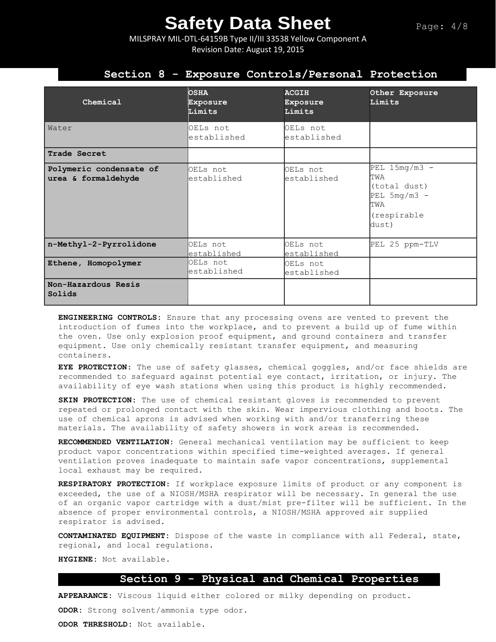MILSPRAY MIL-DTL-64159B Type II/III 33538 Yellow Component A Revision Date: August 19, 2015

## **Section 8 - Exposure Controls/Personal Protection**

| Chemical                                       | <b>OSHA</b><br>Exposure<br>Limits | <b>ACGIH</b><br><b>Exposure</b><br>Limits | Other Exposure<br>Limits                                                                |
|------------------------------------------------|-----------------------------------|-------------------------------------------|-----------------------------------------------------------------------------------------|
| Water                                          | OELs not<br>established           | OELs not<br>established                   |                                                                                         |
| Trade Secret                                   |                                   |                                           |                                                                                         |
| Polymeric condensate of<br>urea & formaldehyde | OELs not<br>established           | OELs not<br>established                   | $PEL$ 15mg/m3 -<br>TWA<br>(total dust)<br>$PEL$ 5mg/m3 -<br>TWA<br>(respirable<br>dust) |
| n-Methyl-2-Pyrrolidone                         | OELs not<br>established           | OELs not<br>established                   | PEL 25 ppm-TLV                                                                          |
| Ethene, Homopolymer                            | OELs not<br>established           | OELs not<br>established                   |                                                                                         |
| Non-Hazardous Resis<br>Solids                  |                                   |                                           |                                                                                         |

**ENGINEERING CONTROLS:** Ensure that any processing ovens are vented to prevent the introduction of fumes into the workplace, and to prevent a build up of fume within the oven. Use only explosion proof equipment, and ground containers and transfer equipment. Use only chemically resistant transfer equipment, and measuring containers.

**EYE PROTECTION**: The use of safety glasses, chemical goggles, and/or face shields are recommended to safeguard against potential eye contact, irritation, or injury. The availability of eye wash stations when using this product is highly recommended.

**SKIN PROTECTION:** The use of chemical resistant gloves is recommended to prevent repeated or prolonged contact with the skin. Wear impervious clothing and boots. The use of chemical aprons is advised when working with and/or transferring these materials. The availability of safety showers in work areas is recommended**.** 

**RECOMMENDED VENTILATION:** General mechanical ventilation may be sufficient to keep product vapor concentrations within specified time-weighted averages. If general ventilation proves inadequate to maintain safe vapor concentrations, supplemental local exhaust may be required.

**RESPIRATORY PROTECTION**: If workplace exposure limits of product or any component is exceeded, the use of a NIOSH/MSHA respirator will be necessary. In general the use of an organic vapor cartridge with a dust/mist pre-filter will be sufficient. In the absence of proper environmental controls, a NIOSH/MSHA approved air supplied respirator is advised.

**CONTAMINATED EQUIPMENT:** Dispose of the waste in compliance with all Federal, state, regional, and local regulations.

**HYGIENE:** Not available.

### **Section 9 - Physical and Chemical Properties**

**APPEARANCE:** Viscous liquid either colored or milky depending on product.

**ODOR:** Strong solvent/ammonia type odor.

**ODOR THRESHOLD:** Not available.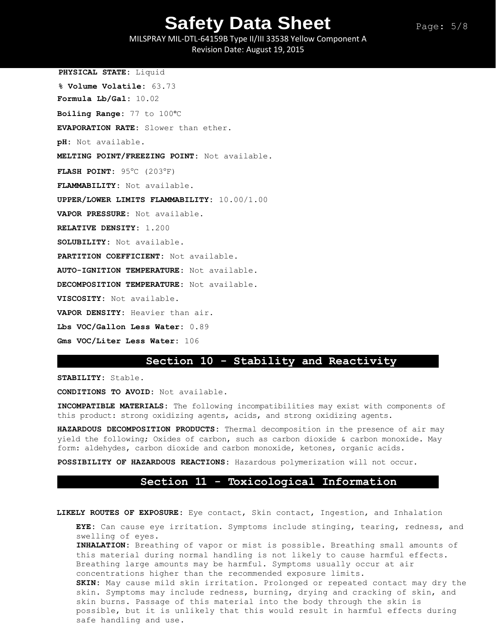Page: 5/8

MILSPRAY MIL-DTL-64159B Type II/III 33538 Yellow Component A Revision Date: August 19, 2015

**PHYSICAL STATE:** Liquid **% Volume Volatile:** 63.73 **Formula Lb/Gal:** 10.02 **Boiling Range:** 77 to 100°C **EVAPORATION RATE:** Slower than ether. **pH:** Not available. **MELTING POINT/FREEZING POINT:** Not available. **FLASH POINT: 95°C (203°F) FLAMMABILITY:** Not available. **UPPER/LOWER LIMITS FLAMMABILITY:** 10.00/1.00 **VAPOR PRESSURE:** Not available. **RELATIVE DENSITY:** 1.200 **SOLUBILITY:** Not available. **PARTITION COEFFICIENT:** Not available. **AUTO-IGNITION TEMPERATURE:** Not available. **DECOMPOSITION TEMPERATURE:** Not available. **VISCOSITY:** Not available. **VAPOR DENSITY:** Heavier than air. **Lbs VOC/Gallon Less Water:** 0.89 **Gms VOC/Liter Less Water:** 106

### **Section 10 - Stability and Reactivity**

**STABILITY:** Stable.

**CONDITIONS TO AVOID:** Not available.

safe handling and use.

**INCOMPATIBLE MATERIALS:** The following incompatibilities may exist with components of this product: strong oxidizing agents, acids, and strong oxidizing agents.

**HAZARDOUS DECOMPOSITION PRODUCTS:** Thermal decomposition in the presence of air may yield the following; Oxides of carbon, such as carbon dioxide & carbon monoxide. May form: aldehydes, carbon dioxide and carbon monoxide, ketones, organic acids.

**POSSIBILITY OF HAZARDOUS REACTIONS:** Hazardous polymerization will not occur.

#### **Section 11 - Toxicological Information**

**LIKELY ROUTES OF EXPOSURE:** Eye contact, Skin contact, Ingestion, and Inhalation

**EYE:** Can cause eye irritation. Symptoms include stinging, tearing, redness, and swelling of eyes.

**INHALATION:** Breathing of vapor or mist is possible. Breathing small amounts of this material during normal handling is not likely to cause harmful effects. Breathing large amounts may be harmful. Symptoms usually occur at air concentrations higher than the recommended exposure limits. **SKIN:** May cause mild skin irritation. Prolonged or repeated contact may dry the skin. Symptoms may include redness, burning, drying and cracking of skin, and skin burns. Passage of this material into the body through the skin is possible, but it is unlikely that this would result in harmful effects during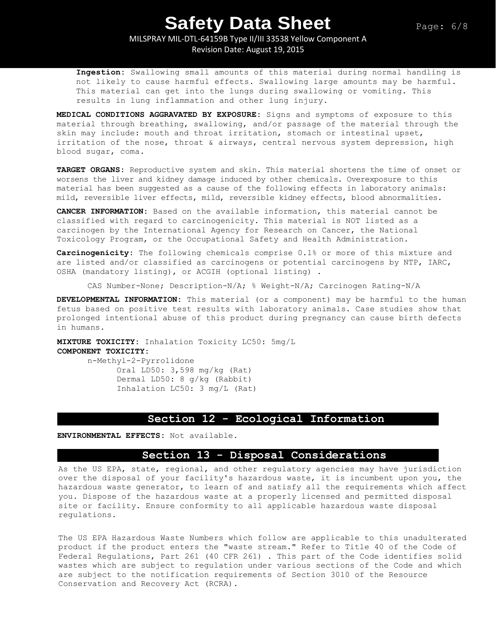# MILSPRAY MIL-DTL-64159B Type II/III 33538 Yellow Component A

Revision Date: August 19, 2015

**Ingestion:** Swallowing small amounts of this material during normal handling is not likely to cause harmful effects. Swallowing large amounts may be harmful. This material can get into the lungs during swallowing or vomiting. This results in lung inflammation and other lung injury.

**MEDICAL CONDITIONS AGGRAVATED BY EXPOSURE:** Signs and symptoms of exposure to this material through breathing, swallowing, and/or passage of the material through the skin may include: mouth and throat irritation, stomach or intestinal upset, irritation of the nose, throat & airways, central nervous system depression, high blood sugar, coma.

**TARGET ORGANS:** Reproductive system and skin. This material shortens the time of onset or worsens the liver and kidney damage induced by other chemicals. Overexposure to this material has been suggested as a cause of the following effects in laboratory animals: mild, reversible liver effects, mild, reversible kidney effects, blood abnormalities.

**CANCER INFORMATION:** Based on the available information, this material cannot be classified with regard to carcinogenicity. This material is NOT listed as a carcinogen by the International Agency for Research on Cancer, the National Toxicology Program, or the Occupational Safety and Health Administration.

**Carcinogenicity:** The following chemicals comprise 0.1% or more of this mixture and are listed and/or classified as carcinogens or potential carcinogens by NTP, IARC, OSHA (mandatory listing), or ACGIH (optional listing) .

CAS Number-None; Description-N/A; % Weight-N/A; Carcinogen Rating-N/A

**DEVELOPMENTAL INFORMATION:** This material (or a component) may be harmful to the human fetus based on positive test results with laboratory animals. Case studies show that prolonged intentional abuse of this product during pregnancy can cause birth defects in humans.

**MIXTURE TOXICITY:** Inhalation Toxicity LC50: 5mg/L **COMPONENT TOXICITY:** n-Methyl-2-Pyrrolidone

Oral LD50: 3,598 mg/kg (Rat) Dermal LD50: 8 g/kg (Rabbit) Inhalation LC50: 3 mg/L (Rat)

# **Section 12 - Ecological Information**

**ENVIRONMENTAL EFFECTS:** Not available.

## **Section 13 - Disposal Considerations**

As the US EPA, state, regional, and other regulatory agencies may have jurisdiction over the disposal of your facility's hazardous waste, it is incumbent upon you, the hazardous waste generator, to learn of and satisfy all the requirements which affect you. Dispose of the hazardous waste at a properly licensed and permitted disposal site or facility. Ensure conformity to all applicable hazardous waste disposal regulations.

The US EPA Hazardous Waste Numbers which follow are applicable to this unadulterated product if the product enters the "waste stream." Refer to Title 40 of the Code of Federal Regulations, Part 261 (40 CFR 261) . This part of the Code identifies solid wastes which are subject to regulation under various sections of the Code and which are subject to the notification requirements of Section 3010 of the Resource Conservation and Recovery Act (RCRA).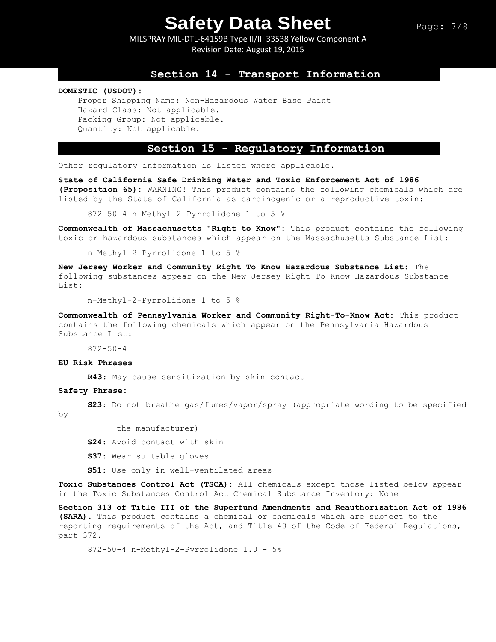MILSPRAY MIL-DTL-64159B Type II/III 33538 Yellow Component A Revision Date: August 19, 2015

## **Section 14 - Transport Information**

#### **DOMESTIC (USDOT):**

Proper Shipping Name: Non-Hazardous Water Base Paint Hazard Class: Not applicable. Packing Group: Not applicable. Quantity: Not applicable.

### **Section 15 - Regulatory Information**

Other regulatory information is listed where applicable.

**State of California Safe Drinking Water and Toxic Enforcement Act of 1986 (Proposition 65):** WARNING! This product contains the following chemicals which are listed by the State of California as carcinogenic or a reproductive toxin:

872-50-4 n-Methyl-2-Pyrrolidone 1 to 5 %

**Commonwealth of Massachusetts "Right to Know":** This product contains the following toxic or hazardous substances which appear on the Massachusetts Substance List:

n-Methyl-2-Pyrrolidone 1 to 5 %

**New Jersey Worker and Community Right To Know Hazardous Substance List:** The following substances appear on the New Jersey Right To Know Hazardous Substance List:

n-Methyl-2-Pyrrolidone 1 to 5 %

**Commonwealth of Pennsylvania Worker and Community Right-To-Know Act:** This product contains the following chemicals which appear on the Pennsylvania Hazardous Substance List:

872-50-4

#### **EU Risk Phrases**

**R43**: May cause sensitization by skin contact

#### **Safety Phrase:**

**S23**: Do not breathe gas/fumes/vapor/spray (appropriate wording to be specified by

the manufacturer)

- **S24**: Avoid contact with skin
- **S37**: Wear suitable gloves
- **S51**: Use only in well-ventilated areas

**Toxic Substances Control Act (TSCA):** All chemicals except those listed below appear in the Toxic Substances Control Act Chemical Substance Inventory: None

**Section 313 of Title III of the Superfund Amendments and Reauthorization Act of 1986 (SARA).** This product contains a chemical or chemicals which are subject to the reporting requirements of the Act, and Title 40 of the Code of Federal Regulations, part 372.

872-50-4 n-Methyl-2-Pyrrolidone 1.0 - 5%